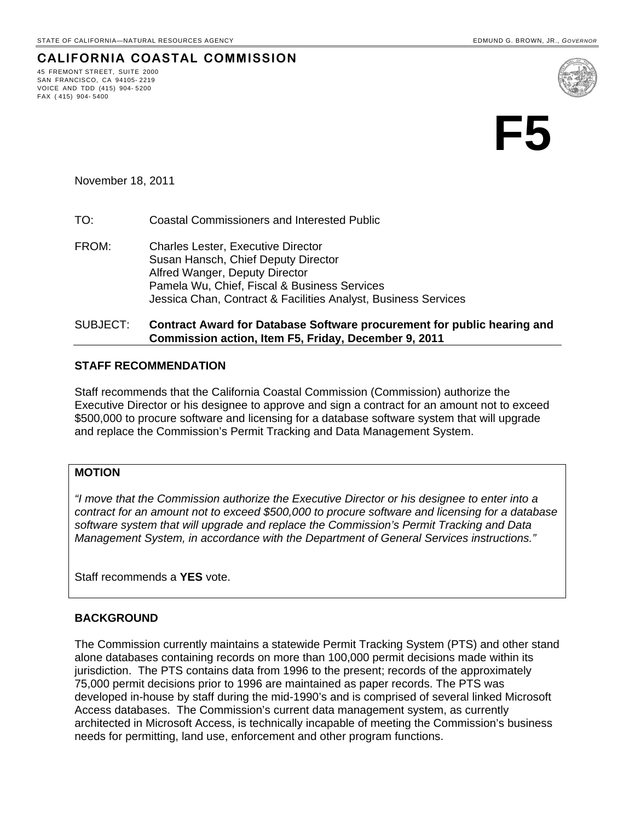45 FREMONT STREET, SUITE 2000 SAN FRANCISCO, CA 94105- 2219 VOICE AND TDD (415) 904- 5200

FAX ( 415) 904- 5400

**CALIFORNIA COASTAL COMMISSION**

**F5** 

# November 18, 2011

#### TO: Coastal Commissioners and Interested Public

FROM: Charles Lester, Executive Director Susan Hansch, Chief Deputy Director Alfred Wanger, Deputy Director Pamela Wu, Chief, Fiscal & Business Services Jessica Chan, Contract & Facilities Analyst, Business Services

### SUBJECT: **Contract Award for Database Software procurement for public hearing and Commission action, Item F5, Friday, December 9, 2011**

## **STAFF RECOMMENDATION**

Staff recommends that the California Coastal Commission (Commission) authorize the Executive Director or his designee to approve and sign a contract for an amount not to exceed \$500,000 to procure software and licensing for a database software system that will upgrade and replace the Commission's Permit Tracking and Data Management System.

## **MOTION**

*"I move that the Commission authorize the Executive Director or his designee to enter into a contract for an amount not to exceed \$500,000 to procure software and licensing for a database software system that will upgrade and replace the Commission's Permit Tracking and Data Management System, in accordance with the Department of General Services instructions."* 

Staff recommends a **YES** vote.

### **BACKGROUND**

The Commission currently maintains a statewide Permit Tracking System (PTS) and other stand alone databases containing records on more than 100,000 permit decisions made within its jurisdiction. The PTS contains data from 1996 to the present; records of the approximately 75,000 permit decisions prior to 1996 are maintained as paper records. The PTS was developed in-house by staff during the mid-1990's and is comprised of several linked Microsoft Access databases. The Commission's current data management system, as currently architected in Microsoft Access, is technically incapable of meeting the Commission's business needs for permitting, land use, enforcement and other program functions.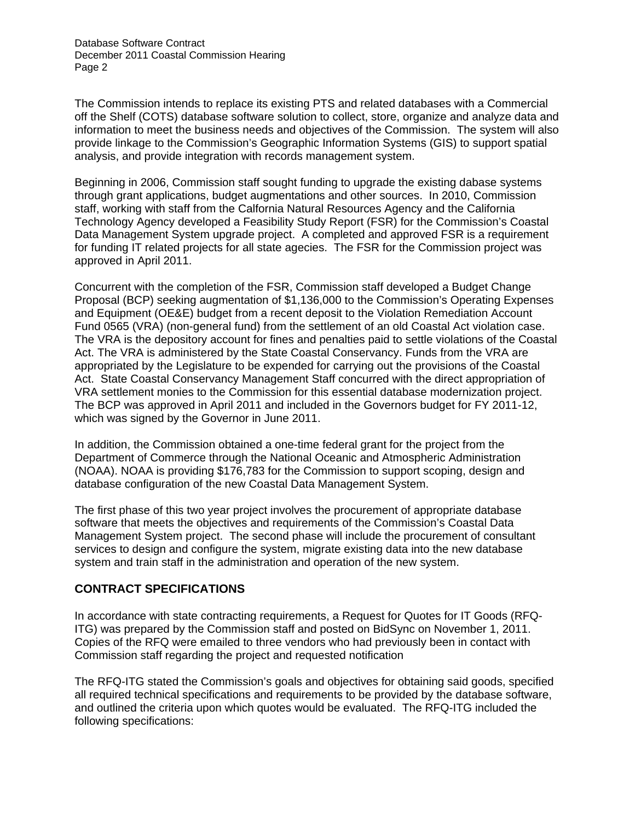Database Software Contract December 2011 Coastal Commission Hearing Page 2

The Commission intends to replace its existing PTS and related databases with a Commercial off the Shelf (COTS) database software solution to collect, store, organize and analyze data and information to meet the business needs and objectives of the Commission. The system will also provide linkage to the Commission's Geographic Information Systems (GIS) to support spatial analysis, and provide integration with records management system.

Beginning in 2006, Commission staff sought funding to upgrade the existing dabase systems through grant applications, budget augmentations and other sources. In 2010, Commission staff, working with staff from the Calfornia Natural Resources Agency and the California Technology Agency developed a Feasibility Study Report (FSR) for the Commission's Coastal Data Management System upgrade project. A completed and approved FSR is a requirement for funding IT related projects for all state agecies. The FSR for the Commission project was approved in April 2011.

Concurrent with the completion of the FSR, Commission staff developed a Budget Change Proposal (BCP) seeking augmentation of \$1,136,000 to the Commission's Operating Expenses and Equipment (OE&E) budget from a recent deposit to the Violation Remediation Account Fund 0565 (VRA) (non-general fund) from the settlement of an old Coastal Act violation case. The VRA is the depository account for fines and penalties paid to settle violations of the Coastal Act. The VRA is administered by the State Coastal Conservancy. Funds from the VRA are appropriated by the Legislature to be expended for carrying out the provisions of the Coastal Act. State Coastal Conservancy Management Staff concurred with the direct appropriation of VRA settlement monies to the Commission for this essential database modernization project. The BCP was approved in April 2011 and included in the Governors budget for FY 2011-12, which was signed by the Governor in June 2011.

In addition, the Commission obtained a one-time federal grant for the project from the Department of Commerce through the National Oceanic and Atmospheric Administration (NOAA). NOAA is providing \$176,783 for the Commission to support scoping, design and database configuration of the new Coastal Data Management System.

The first phase of this two year project involves the procurement of appropriate database software that meets the objectives and requirements of the Commission's Coastal Data Management System project. The second phase will include the procurement of consultant services to design and configure the system, migrate existing data into the new database system and train staff in the administration and operation of the new system.

# **CONTRACT SPECIFICATIONS**

In accordance with state contracting requirements, a Request for Quotes for IT Goods (RFQ-ITG) was prepared by the Commission staff and posted on BidSync on November 1, 2011. Copies of the RFQ were emailed to three vendors who had previously been in contact with Commission staff regarding the project and requested notification

The RFQ-ITG stated the Commission's goals and objectives for obtaining said goods, specified all required technical specifications and requirements to be provided by the database software, and outlined the criteria upon which quotes would be evaluated. The RFQ-ITG included the following specifications: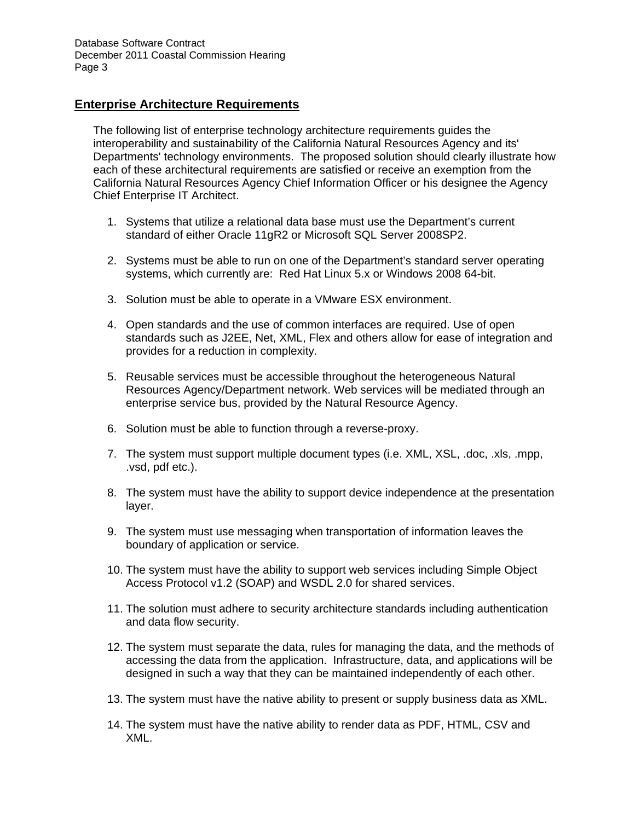# **Enterprise Architecture Requirements**

The following list of enterprise technology architecture requirements guides the interoperability and sustainability of the California Natural Resources Agency and its' Departments' technology environments. The proposed solution should clearly illustrate how each of these architectural requirements are satisfied or receive an exemption from the California Natural Resources Agency Chief Information Officer or his designee the Agency Chief Enterprise IT Architect.

- 1. Systems that utilize a relational data base must use the Department's current standard of either Oracle 11gR2 or Microsoft SQL Server 2008SP2.
- 2. Systems must be able to run on one of the Department's standard server operating systems, which currently are: Red Hat Linux 5.x or Windows 2008 64-bit.
- 3. Solution must be able to operate in a VMware ESX environment.
- 4. Open standards and the use of common interfaces are required. Use of open standards such as J2EE, Net, XML, Flex and others allow for ease of integration and provides for a reduction in complexity*.*
- 5. Reusable services must be accessible throughout the heterogeneous Natural Resources Agency/Department network. Web services will be mediated through an enterprise service bus, provided by the Natural Resource Agency.
- 6. Solution must be able to function through a reverse-proxy.
- 7. The system must support multiple document types (i.e. XML, XSL, .doc, .xls, .mpp, .vsd, pdf etc.).
- 8. The system must have the ability to support device independence at the presentation layer.
- 9. The system must use messaging when transportation of information leaves the boundary of application or service.
- 10. The system must have the ability to support web services including Simple Object Access Protocol v1.2 (SOAP) and WSDL 2.0 for shared services.
- 11. The solution must adhere to security architecture standards including authentication and data flow security.
- 12. The system must separate the data, rules for managing the data, and the methods of accessing the data from the application. Infrastructure, data, and applications will be designed in such a way that they can be maintained independently of each other.
- 13. The system must have the native ability to present or supply business data as XML.
- 14. The system must have the native ability to render data as PDF, HTML, CSV and XML.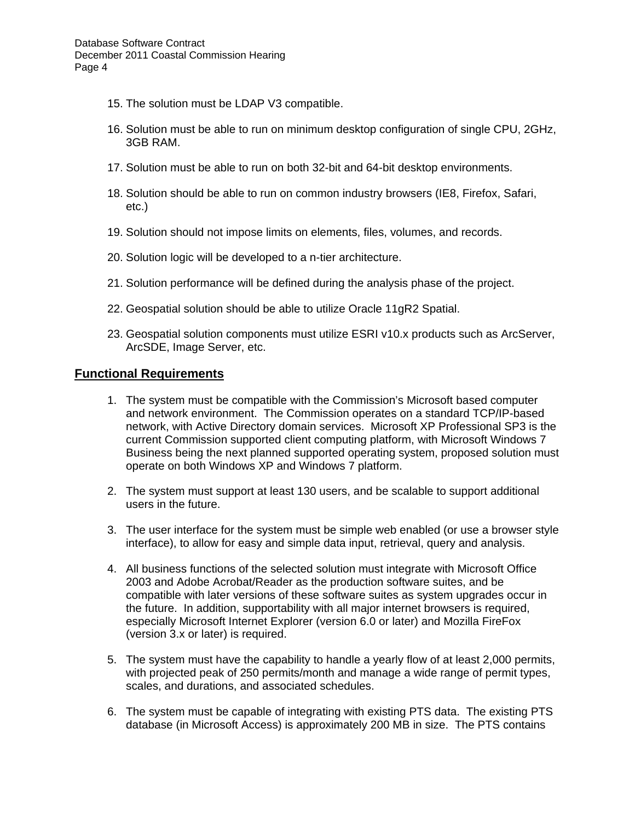- 15. The solution must be LDAP V3 compatible.
- 16. Solution must be able to run on minimum desktop configuration of single CPU, 2GHz, 3GB RAM.
- 17. Solution must be able to run on both 32-bit and 64-bit desktop environments.
- 18. Solution should be able to run on common industry browsers (IE8, Firefox, Safari, etc.)
- 19. Solution should not impose limits on elements, files, volumes, and records.
- 20. Solution logic will be developed to a n-tier architecture.
- 21. Solution performance will be defined during the analysis phase of the project.
- 22. Geospatial solution should be able to utilize Oracle 11gR2 Spatial.
- 23. Geospatial solution components must utilize ESRI v10.x products such as ArcServer, ArcSDE, Image Server, etc.

## **Functional Requirements**

- 1. The system must be compatible with the Commission's Microsoft based computer and network environment. The Commission operates on a standard TCP/IP-based network, with Active Directory domain services. Microsoft XP Professional SP3 is the current Commission supported client computing platform, with Microsoft Windows 7 Business being the next planned supported operating system, proposed solution must operate on both Windows XP and Windows 7 platform.
- 2. The system must support at least 130 users, and be scalable to support additional users in the future.
- 3. The user interface for the system must be simple web enabled (or use a browser style interface), to allow for easy and simple data input, retrieval, query and analysis.
- 4. All business functions of the selected solution must integrate with Microsoft Office 2003 and Adobe Acrobat/Reader as the production software suites, and be compatible with later versions of these software suites as system upgrades occur in the future. In addition, supportability with all major internet browsers is required, especially Microsoft Internet Explorer (version 6.0 or later) and Mozilla FireFox (version 3.x or later) is required.
- 5. The system must have the capability to handle a yearly flow of at least 2,000 permits, with projected peak of 250 permits/month and manage a wide range of permit types, scales, and durations, and associated schedules.
- 6. The system must be capable of integrating with existing PTS data. The existing PTS database (in Microsoft Access) is approximately 200 MB in size. The PTS contains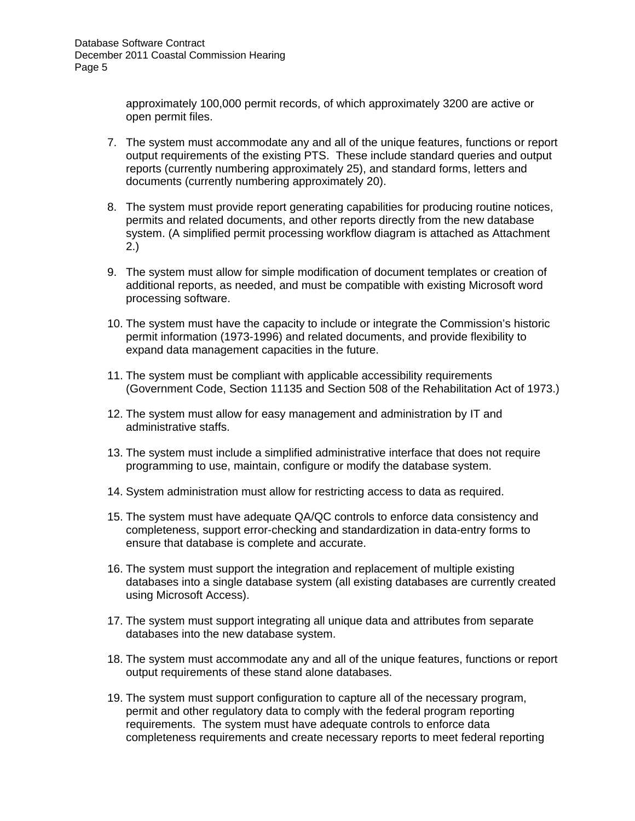approximately 100,000 permit records, of which approximately 3200 are active or open permit files.

- 7. The system must accommodate any and all of the unique features, functions or report output requirements of the existing PTS. These include standard queries and output reports (currently numbering approximately 25), and standard forms, letters and documents (currently numbering approximately 20).
- 8. The system must provide report generating capabilities for producing routine notices, permits and related documents, and other reports directly from the new database system. (A simplified permit processing workflow diagram is attached as Attachment 2.)
- 9. The system must allow for simple modification of document templates or creation of additional reports, as needed, and must be compatible with existing Microsoft word processing software.
- 10. The system must have the capacity to include or integrate the Commission's historic permit information (1973-1996) and related documents, and provide flexibility to expand data management capacities in the future.
- 11. The system must be compliant with applicable accessibility requirements (Government Code, Section 11135 and Section 508 of the Rehabilitation Act of 1973.)
- 12. The system must allow for easy management and administration by IT and administrative staffs.
- 13. The system must include a simplified administrative interface that does not require programming to use, maintain, configure or modify the database system.
- 14. System administration must allow for restricting access to data as required.
- 15. The system must have adequate QA/QC controls to enforce data consistency and completeness, support error-checking and standardization in data-entry forms to ensure that database is complete and accurate.
- 16. The system must support the integration and replacement of multiple existing databases into a single database system (all existing databases are currently created using Microsoft Access).
- 17. The system must support integrating all unique data and attributes from separate databases into the new database system.
- 18. The system must accommodate any and all of the unique features, functions or report output requirements of these stand alone databases.
- 19. The system must support configuration to capture all of the necessary program, permit and other regulatory data to comply with the federal program reporting requirements. The system must have adequate controls to enforce data completeness requirements and create necessary reports to meet federal reporting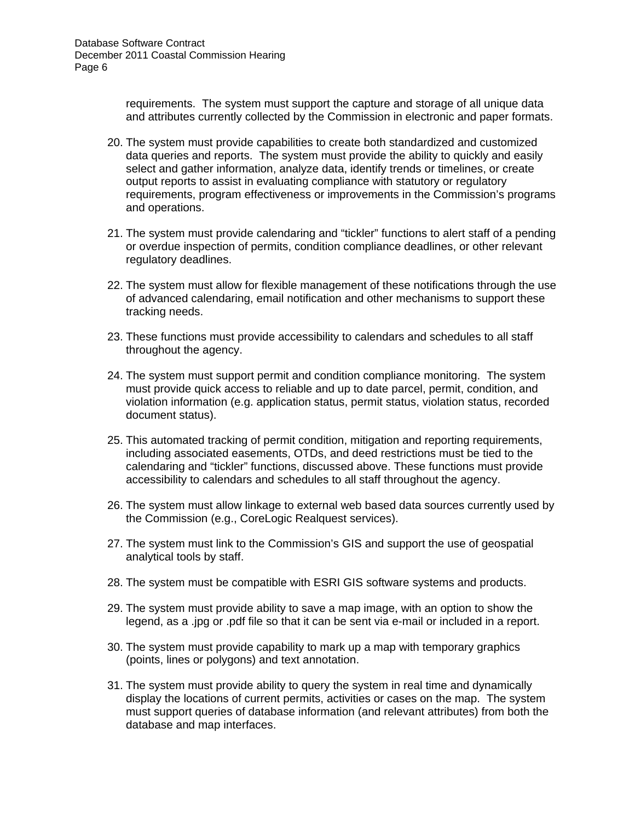requirements. The system must support the capture and storage of all unique data and attributes currently collected by the Commission in electronic and paper formats.

- 20. The system must provide capabilities to create both standardized and customized data queries and reports. The system must provide the ability to quickly and easily select and gather information, analyze data, identify trends or timelines, or create output reports to assist in evaluating compliance with statutory or regulatory requirements, program effectiveness or improvements in the Commission's programs and operations.
- 21. The system must provide calendaring and "tickler" functions to alert staff of a pending or overdue inspection of permits, condition compliance deadlines, or other relevant regulatory deadlines.
- 22. The system must allow for flexible management of these notifications through the use of advanced calendaring, email notification and other mechanisms to support these tracking needs.
- 23. These functions must provide accessibility to calendars and schedules to all staff throughout the agency.
- 24. The system must support permit and condition compliance monitoring. The system must provide quick access to reliable and up to date parcel, permit, condition, and violation information (e.g. application status, permit status, violation status, recorded document status).
- 25. This automated tracking of permit condition, mitigation and reporting requirements, including associated easements, OTDs, and deed restrictions must be tied to the calendaring and "tickler" functions, discussed above. These functions must provide accessibility to calendars and schedules to all staff throughout the agency.
- 26. The system must allow linkage to external web based data sources currently used by the Commission (e.g., CoreLogic Realquest services).
- 27. The system must link to the Commission's GIS and support the use of geospatial analytical tools by staff.
- 28. The system must be compatible with ESRI GIS software systems and products.
- 29. The system must provide ability to save a map image, with an option to show the legend, as a .jpg or .pdf file so that it can be sent via e-mail or included in a report.
- 30. The system must provide capability to mark up a map with temporary graphics (points, lines or polygons) and text annotation.
- 31. The system must provide ability to query the system in real time and dynamically display the locations of current permits, activities or cases on the map. The system must support queries of database information (and relevant attributes) from both the database and map interfaces.